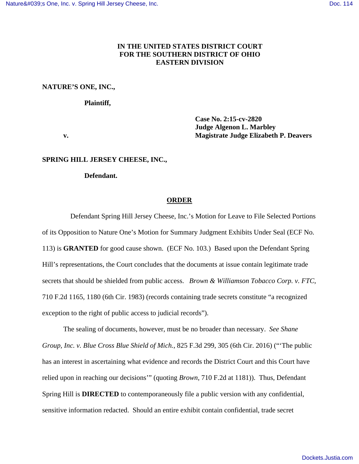## **IN THE UNITED STATES DISTRICT COURT FOR THE SOUTHERN DISTRICT OF OHIO EASTERN DIVISION**

## **NATURE'S ONE, INC.,**

#### **Plaintiff,**

**Case No. 2:15-cv-2820 Judge Algenon L. Marbley v. Magistrate Judge Elizabeth P. Deavers** 

#### **SPRING HILL JERSEY CHEESE, INC.,**

 **Defendant.** 

### **ORDER**

 Defendant Spring Hill Jersey Cheese, Inc.'s Motion for Leave to File Selected Portions of its Opposition to Nature One's Motion for Summary Judgment Exhibits Under Seal (ECF No. 113) is **GRANTED** for good cause shown. (ECF No. 103.) Based upon the Defendant Spring Hill's representations, the Court concludes that the documents at issue contain legitimate trade secrets that should be shielded from public access. *Brown & Williamson Tobacco Corp. v. FTC*, 710 F.2d 1165, 1180 (6th Cir. 1983) (records containing trade secrets constitute "a recognized exception to the right of public access to judicial records").

The sealing of documents, however, must be no broader than necessary. *See Shane Group, Inc. v. Blue Cross Blue Shield of Mich.*, 825 F.3d 299, 305 (6th Cir. 2016) ("'The public has an interest in ascertaining what evidence and records the District Court and this Court have relied upon in reaching our decisions'" (quoting *Brown*, 710 F.2d at 1181)). Thus, Defendant Spring Hill is **DIRECTED** to contemporaneously file a public version with any confidential, sensitive information redacted. Should an entire exhibit contain confidential, trade secret